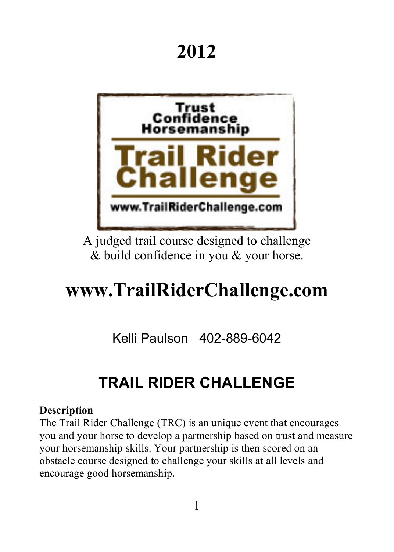# **2012**



A judged trail course designed to challenge & build confidence in you & your horse.

# **www.TrailRiderChallenge.com**

Kelli Paulson 402-889-6042

## **TRAIL RIDER CHALLENGE**

#### **Description**

The Trail Rider Challenge (TRC) is an unique event that encourages you and your horse to develop a partnership based on trust and measure your horsemanship skills. Your partnership is then scored on an obstacle course designed to challenge your skills at all levels and encourage good horsemanship.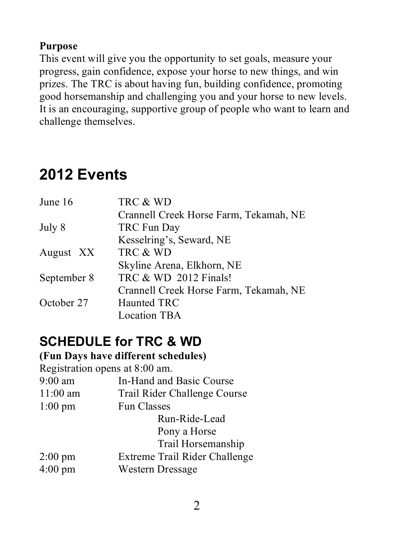#### **Purpose**

This event will give you the opportunity to set goals, measure your progress, gain confidence, expose your horse to new things, and win prizes. The TRC is about having fun, building confidence, promoting good horsemanship and challenging you and your horse to new levels. It is an encouraging, supportive group of people who want to learn and challenge themselves.

## **2012 Events**

| TRC & WD                               |
|----------------------------------------|
| Crannell Creek Horse Farm, Tekamah, NE |
| TRC Fun Day                            |
| Kesselring's, Seward, NE               |
| TRC & WD                               |
| Skyline Arena, Elkhorn, NE             |
| TRC & WD 2012 Finals!                  |
| Crannell Creek Horse Farm, Tekamah, NE |
| Haunted TRC                            |
| <b>Location TBA</b>                    |
|                                        |

### **SCHEDULE for TRC & WD**

#### **(Fun Days have different schedules)** Registration opens at 8:00 am. 9:00 am In-Hand and Basic Course 11:00 am Trail Rider Challenge Course 1:00 pm Fun Classes Run-Ride-Lead Pony a Horse Trail Horsemanship 2:00 pm Extreme Trail Rider Challenge 4:00 pm Western Dressage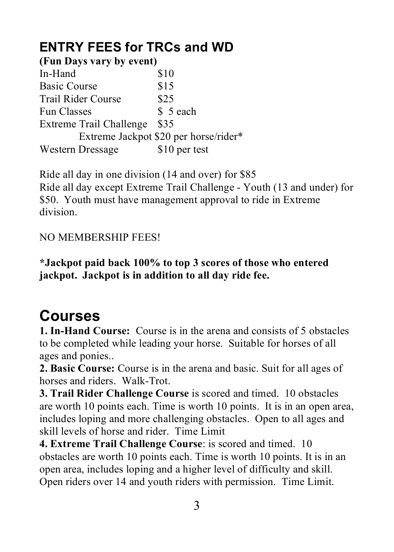### **ENTRY FEES for TRCs and WD**

| (Fun Days vary by event)       |                                       |
|--------------------------------|---------------------------------------|
| In-Hand                        | \$10                                  |
| <b>Basic Course</b>            | \$15                                  |
| Trail Rider Course             | \$25                                  |
| <b>Fun Classes</b>             | \$ 5 each                             |
| <b>Extreme Trail Challenge</b> | \$35                                  |
|                                | Extreme Jackpot \$20 per horse/rider* |
| Western Dressage               | \$10 per test                         |

Ride all day in one division (14 and over) for \$85 Ride all day except Extreme Trail Challenge - Youth (13 and under) for \$50. Youth must have management approval to ride in Extreme division.

### NO MEMBERSHIP FEES!

**\*Jackpot paid back 100% to top 3 scores of those who entered jackpot. Jackpot is in addition to all day ride fee.**

## **Courses**

**1. In-Hand Course:** Course is in the arena and consists of 5 obstacles to be completed while leading your horse. Suitable for horses of all ages and ponies..

**2. Basic Course:** Course is in the arena and basic. Suit for all ages of horses and riders. Walk-Trot.

**3. Trail Rider Challenge Course** is scored and timed. 10 obstacles are worth 10 points each. Time is worth 10 points. It is in an open area, includes loping and more challenging obstacles. Open to all ages and skill levels of horse and rider. Time Limit

**4. Extreme Trail Challenge Course**: is scored and timed. 10 obstacles are worth 10 points each. Time is worth 10 points. It is in an open area, includes loping and a higher level of difficulty and skill. Open riders over 14 and youth riders with permission. Time Limit.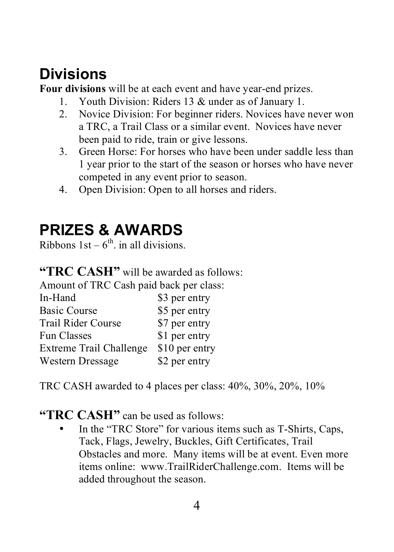## **Divisions**

**Four divisions** will be at each event and have year-end prizes.

- 1. Youth Division: Riders 13 & under as of January 1.
- 2. Novice Division: For beginner riders. Novices have never won a TRC, a Trail Class or a similar event. Novices have never been paid to ride, train or give lessons.
- 3. Green Horse: For horses who have been under saddle less than 1 year prior to the start of the season or horses who have never competed in any event prior to season.
- 4. Open Division: Open to all horses and riders.

## **PRIZES & AWARDS**

Ribbons  $1st - 6<sup>th</sup>$ . in all divisions.

**"TRC CASH"** will be awarded as follows:

Amount of TRC Cash paid back per class:

| In-Hand                   | \$3 per entry  |
|---------------------------|----------------|
| <b>Basic Course</b>       | \$5 per entry  |
| <b>Trail Rider Course</b> | \$7 per entry  |
| <b>Fun Classes</b>        | \$1 per entry  |
| Extreme Trail Challenge   | \$10 per entry |
| Western Dressage          | \$2 per entry  |

TRC CASH awarded to 4 places per class: 40%, 30%, 20%, 10%

### "TRC CASH" can be used as follows:

In the "TRC Store" for various items such as T-Shirts, Caps, Tack, Flags, Jewelry, Buckles, Gift Certificates, Trail Obstacles and more. Many items will be at event. Even more items online: www.TrailRiderChallenge.com. Items will be added throughout the season.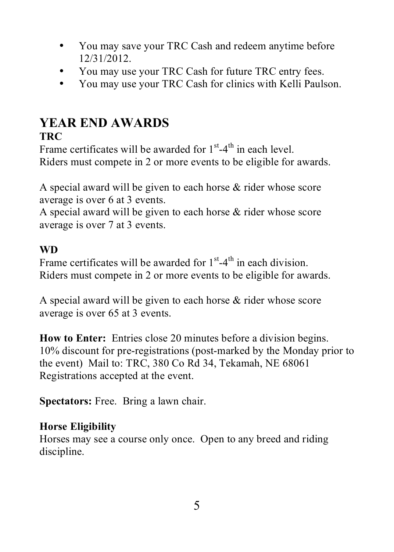- You may save your TRC Cash and redeem anytime before 12/31/2012.
- You may use your TRC Cash for future TRC entry fees.
- You may use your TRC Cash for clinics with Kelli Paulson.

### **YEAR END AWARDS**

### **TRC**

Frame certificates will be awarded for  $1<sup>st</sup> - 4<sup>th</sup>$  in each level. Riders must compete in 2 or more events to be eligible for awards.

A special award will be given to each horse & rider whose score average is over 6 at 3 events.

A special award will be given to each horse & rider whose score average is over 7 at 3 events.

### **WD**

Frame certificates will be awarded for  $1<sup>st</sup> - 4<sup>th</sup>$  in each division. Riders must compete in 2 or more events to be eligible for awards.

A special award will be given to each horse & rider whose score average is over 65 at 3 events.

**How to Enter:** Entries close 20 minutes before a division begins. 10% discount for pre-registrations (post-marked by the Monday prior to the event) Mail to: TRC, 380 Co Rd 34, Tekamah, NE 68061 Registrations accepted at the event.

**Spectators:** Free. Bring a lawn chair.

### **Horse Eligibility**

Horses may see a course only once. Open to any breed and riding discipline.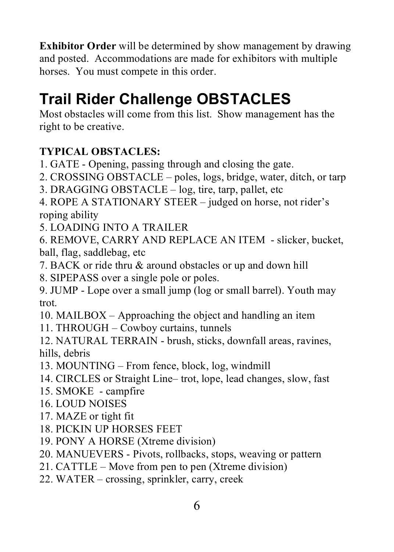**Exhibitor Order** will be determined by show management by drawing and posted. Accommodations are made for exhibitors with multiple horses. You must compete in this order.

## **Trail Rider Challenge OBSTACLES**

Most obstacles will come from this list. Show management has the right to be creative.

### **TYPICAL OBSTACLES:**

- 1. GATE Opening, passing through and closing the gate.
- 2. CROSSING OBSTACLE poles, logs, bridge, water, ditch, or tarp
- 3. DRAGGING OBSTACLE log, tire, tarp, pallet, etc
- 4. ROPE A STATIONARY STEER judged on horse, not rider's roping ability
- 5. LOADING INTO A TRAILER

6. REMOVE, CARRY AND REPLACE AN ITEM - slicker, bucket, ball, flag, saddlebag, etc

- 7. BACK or ride thru & around obstacles or up and down hill
- 8. SIPEPASS over a single pole or poles.

9. JUMP - Lope over a small jump (log or small barrel). Youth may trot.

- 10. MAILBOX Approaching the object and handling an item
- 11. THROUGH Cowboy curtains, tunnels

12. NATURAL TERRAIN - brush, sticks, downfall areas, ravines, hills, debris

- 13. MOUNTING From fence, block, log, windmill
- 14. CIRCLES or Straight Line– trot, lope, lead changes, slow, fast
- 15. SMOKE campfire
- 16. LOUD NOISES
- 17. MAZE or tight fit
- 18. PICKIN UP HORSES FEET
- 19. PONY A HORSE (Xtreme division)
- 20. MANUEVERS Pivots, rollbacks, stops, weaving or pattern
- 21. CATTLE Move from pen to pen (Xtreme division)
- 22. WATER crossing, sprinkler, carry, creek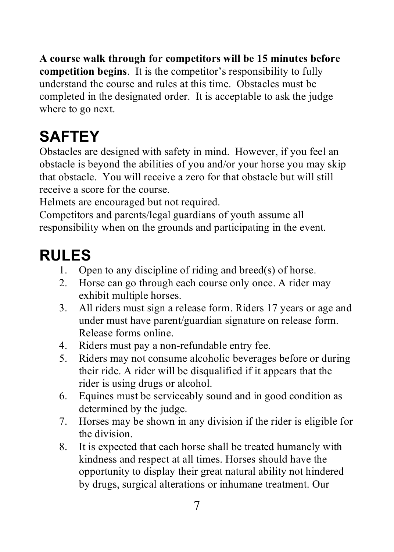**A course walk through for competitors will be 15 minutes before competition begins**. It is the competitor's responsibility to fully understand the course and rules at this time. Obstacles must be completed in the designated order. It is acceptable to ask the judge where to go next.

# **SAFTEY**

Obstacles are designed with safety in mind. However, if you feel an obstacle is beyond the abilities of you and/or your horse you may skip that obstacle. You will receive a zero for that obstacle but will still receive a score for the course.

Helmets are encouraged but not required.

Competitors and parents/legal guardians of youth assume all responsibility when on the grounds and participating in the event.

## **RULES**

- 1. Open to any discipline of riding and breed(s) of horse.
- 2. Horse can go through each course only once. A rider may exhibit multiple horses.
- 3. All riders must sign a release form. Riders 17 years or age and under must have parent/guardian signature on release form. Release forms online.
- 4. Riders must pay a non-refundable entry fee.
- 5. Riders may not consume alcoholic beverages before or during their ride. A rider will be disqualified if it appears that the rider is using drugs or alcohol.
- 6. Equines must be serviceably sound and in good condition as determined by the judge.
- 7. Horses may be shown in any division if the rider is eligible for the division.
- 8. It is expected that each horse shall be treated humanely with kindness and respect at all times. Horses should have the opportunity to display their great natural ability not hindered by drugs, surgical alterations or inhumane treatment. Our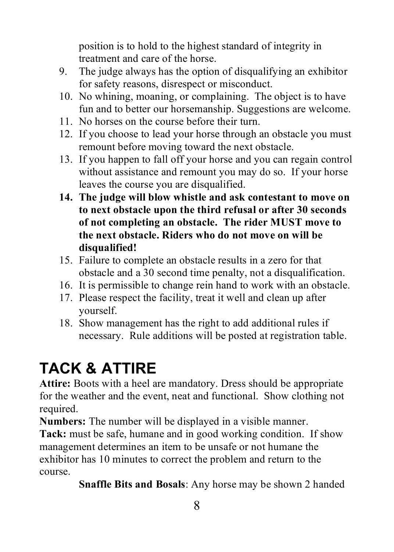position is to hold to the highest standard of integrity in treatment and care of the horse.

- 9. The judge always has the option of disqualifying an exhibitor for safety reasons, disrespect or misconduct.
- 10. No whining, moaning, or complaining. The object is to have fun and to better our horsemanship. Suggestions are welcome.
- 11. No horses on the course before their turn.
- 12. If you choose to lead your horse through an obstacle you must remount before moving toward the next obstacle.
- 13. If you happen to fall off your horse and you can regain control without assistance and remount you may do so. If your horse leaves the course you are disqualified.
- **14. The judge will blow whistle and ask contestant to move on to next obstacle upon the third refusal or after 30 seconds of not completing an obstacle. The rider MUST move to the next obstacle. Riders who do not move on will be disqualified!**
- 15. Failure to complete an obstacle results in a zero for that obstacle and a 30 second time penalty, not a disqualification.
- 16. It is permissible to change rein hand to work with an obstacle.
- 17. Please respect the facility, treat it well and clean up after yourself.
- 18. Show management has the right to add additional rules if necessary. Rule additions will be posted at registration table.

# **TACK & ATTIRE**

Attire: Boots with a heel are mandatory. Dress should be appropriate for the weather and the event, neat and functional. Show clothing not required.

**Numbers:** The number will be displayed in a visible manner.

**Tack:** must be safe, humane and in good working condition. If show management determines an item to be unsafe or not humane the exhibitor has 10 minutes to correct the problem and return to the course.

**Snaffle Bits and Bosals**: Any horse may be shown 2 handed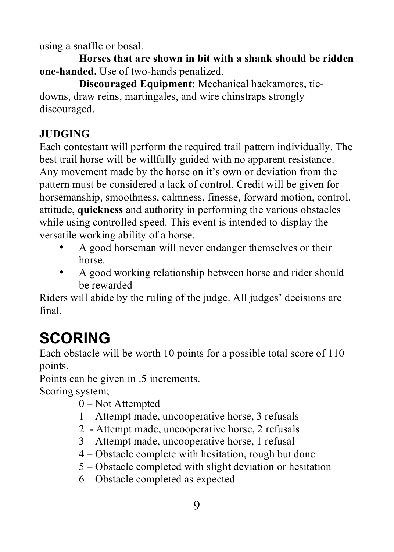using a snaffle or bosal.

**Horses that are shown in bit with a shank should be ridden one-handed.** Use of two-hands penalized.

**Discouraged Equipment**: Mechanical hackamores, tiedowns, draw reins, martingales, and wire chinstraps strongly discouraged.

### **JUDGING**

Each contestant will perform the required trail pattern individually. The best trail horse will be willfully guided with no apparent resistance. Any movement made by the horse on it's own or deviation from the pattern must be considered a lack of control. Credit will be given for horsemanship, smoothness, calmness, finesse, forward motion, control, attitude, **quickness** and authority in performing the various obstacles while using controlled speed. This event is intended to display the versatile working ability of a horse.

- A good horseman will never endanger themselves or their horse.
- A good working relationship between horse and rider should be rewarded

Riders will abide by the ruling of the judge. All judges' decisions are final.

# **SCORING**

Each obstacle will be worth 10 points for a possible total score of 110 points.

Points can be given in .5 increments.

Scoring system;

- 0 Not Attempted
- 1 Attempt made, uncooperative horse, 3 refusals
- 2 Attempt made, uncooperative horse, 2 refusals
- 3 Attempt made, uncooperative horse, 1 refusal
- 4 Obstacle complete with hesitation, rough but done
- 5 Obstacle completed with slight deviation or hesitation
- 6 Obstacle completed as expected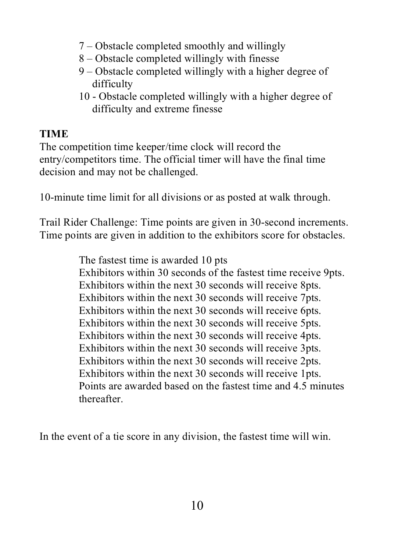- 7 Obstacle completed smoothly and willingly
- 8 Obstacle completed willingly with finesse
- 9 Obstacle completed willingly with a higher degree of difficulty
- 10 Obstacle completed willingly with a higher degree of difficulty and extreme finesse

### **TIME**

The competition time keeper/time clock will record the entry/competitors time. The official timer will have the final time decision and may not be challenged.

10-minute time limit for all divisions or as posted at walk through.

Trail Rider Challenge: Time points are given in 30-second increments. Time points are given in addition to the exhibitors score for obstacles.

> The fastest time is awarded 10 pts Exhibitors within 30 seconds of the fastest time receive 9pts. Exhibitors within the next 30 seconds will receive 8pts. Exhibitors within the next 30 seconds will receive 7pts. Exhibitors within the next 30 seconds will receive 6pts. Exhibitors within the next 30 seconds will receive 5pts. Exhibitors within the next 30 seconds will receive 4pts. Exhibitors within the next 30 seconds will receive 3pts. Exhibitors within the next 30 seconds will receive 2pts. Exhibitors within the next 30 seconds will receive 1pts. Points are awarded based on the fastest time and 4.5 minutes thereafter.

In the event of a tie score in any division, the fastest time will win.